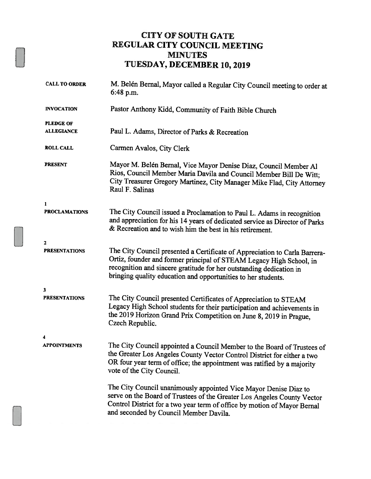### CITY OF SOUTH GATE REGULAR CITY COUNCIL MEETING MINUTES TUESDAY, DECEMBER 10, 2019

| <b>CALL TO ORDER</b>                  | M. Belén Bernal, Mayor called a Regular City Council meeting to order at<br>6:48 p.m.                                                                                                                                                                                                     |  |  |
|---------------------------------------|-------------------------------------------------------------------------------------------------------------------------------------------------------------------------------------------------------------------------------------------------------------------------------------------|--|--|
| <b>INVOCATION</b>                     | Pastor Anthony Kidd, Community of Faith Bible Church                                                                                                                                                                                                                                      |  |  |
| <b>PLEDGE OF</b><br><b>ALLEGIANCE</b> | Paul L. Adams, Director of Parks & Recreation                                                                                                                                                                                                                                             |  |  |
| <b>ROLL CALL</b>                      | Carmen Avalos, City Clerk                                                                                                                                                                                                                                                                 |  |  |
| PRESENT                               | Mayor M. Belén Bernal, Vice Mayor Denise Diaz, Council Member Al<br>Rios, Council Member Maria Davila and Council Member Bill De Witt;<br>City Treasurer Gregory Martinez, City Manager Mike Flad, City Attorney<br>Raul F. Salinas                                                       |  |  |
| 1                                     |                                                                                                                                                                                                                                                                                           |  |  |
| <b>PROCLAMATIONS</b>                  | The City Council issued a Proclamation to Paul L. Adams in recognition<br>and appreciation for his 14 years of dedicated service as Director of Parks<br>& Recreation and to wish him the best in his retirement.                                                                         |  |  |
| $\mathbf{z}$                          |                                                                                                                                                                                                                                                                                           |  |  |
| <b>PRESENTATIONS</b>                  | The City Council presented a Certificate of Appreciation to Carla Barrera-<br>Ortiz, founder and former principal of STEAM Legacy High School, in<br>recognition and sincere gratitude for her outstanding dedication in<br>bringing quality education and opportunities to her students. |  |  |
| 3                                     |                                                                                                                                                                                                                                                                                           |  |  |
| <b>PRESENTATIONS</b>                  | The City Council presented Certificates of Appreciation to STEAM<br>Legacy High School students for their participation and achievements in<br>the 2019 Horizon Grand Prix Competition on June 8, 2019 in Prague,<br>Czech Republic.                                                      |  |  |
| 4                                     |                                                                                                                                                                                                                                                                                           |  |  |
| <b>APPOINTMENTS</b>                   | The City Council appointed a Council Member to the Board of Trustees of<br>the Greater Los Angeles County Vector Control District for either a two<br>OR four year term of office; the appointment was ratified by a majority<br>vote of the City Council.                                |  |  |
|                                       | The City Council unanimously appointed Vice Mayor Denise Diaz to<br>serve on the Board of Trustees of the Greater Los Angeles County Vector<br>Control District for a two year term of office by motion of Mayor Bernal<br>and seconded by Council Member Davila.                         |  |  |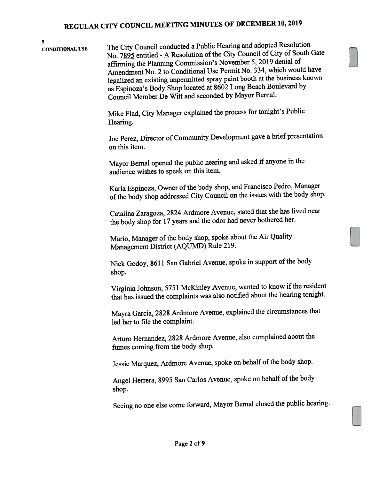5 CONDITIONAL USE The City Council conducted <sup>a</sup> Public Hearing and adopted Resolution No. 7895 entitled - A Resolution of the City Council of City of South Gate affirming the Planning Commission's November 5, <sup>2019</sup> denial of Amendment No. <sup>2</sup> to Conditional Use Permit No. 334, which would have legalized an existing unpermitted spray paint booth at the business known as Espinoza's Body Shop located at <sup>8602</sup> Long Beach Boulevard by Council Member De Witt and seconded by Mayor Bernal.

> Mike Flad, City Manager explained the process for tonight's Public Hearing.

Joe Perez, Director of Community Development gave <sup>a</sup> brief presentation on this item.

Mayor Bernal opene<sup>d</sup> the public hearing and asked if anyone in the audience wishes to speak on this item.

Karla Espinoza, Owner of the body shop, and Francisco Pedro, Manager ofthe body shop addressed City Council on the issues with the body shop.

Catalina Zaragoza, <sup>2824</sup> Ardmore Avenue, stated that she has lived near the body shop for <sup>17</sup> years and the odor had never bothered her.

Mario, Manager of the body shop, spoke about the Air Quality Management District (AQUMD) Rule 219.

Nick Godoy, 8611 San Gabriel Avenue, spoke in support of the body shop.

Virginia Johnson, 5751 McKinley Avenue, wanted to know if the resident that has issued the complaints was also notified about the hearing tonight.

Mayra Garcia, <sup>2828</sup> Ardmore Avenue, explained the circumstances that led her to file the complaint.

Arturo Hemandez, <sup>2828</sup> Ardmore Avenue, also complained about the fumes coming from the body shop.

Jessie Marquez, Ardmore Avenue, spoke on behalf of the body shop.

Angel Herrera, 8995 San Carlos Avenue, spoke on behalf of the body shop.

Seeing no one else come forward, Mayor Bernal closed the public hearing.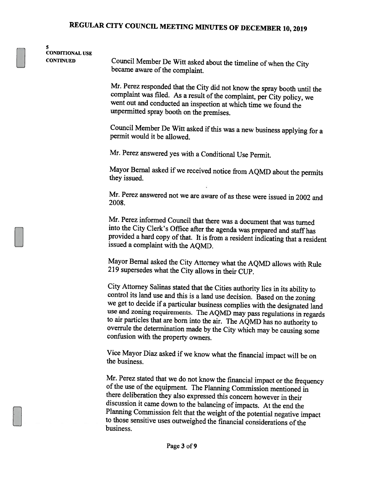S CONDITIONAL USE

CONTINUED Council Member De Witt asked about the timeline of when the City became aware of the complaint.

> Mr. Perez responded that the City did not know the spray booth until the complaint was filed. As a result of the complaint, per City policy, we went out and conducted an inspection at which time we found the unpermitted spray booth on the premises.

> Council Member De Witt asked if this was a new business applying for a permit would it be allowed.

Mr. Perez answered yes with <sup>a</sup> Conditional Use Permit.

Mayor Bernal asked if we received notice from AQMD about the permits they issued.

Mr. Perez answered not we are aware of as these were issued in <sup>2002</sup> and 2008.

Mr. Perez informed Council that there was <sup>a</sup> document that was turned into the City Clerk's Office after the agenda was prepared and staff has provided a hard copy of that. It is from a resident indicating that a resident issued <sup>a</sup> complaint with the AQMD.

Mayor Bemal asked the City Attorney what the AQMD allows with Rule <sup>219</sup> supersedes what the City allows in their CUP.

City Attorney Salinas stated that the Cities authority lies in its ability to control its land use and this is <sup>a</sup> land use decision. Based on the zoning we get to decide if <sup>a</sup> particular business complies with the designated land use and zoning requirements. The AQMD may pass regulations in regards to air particles that are born into the air. The AQMD has no authority to overrule the determination made by the City which may be causing some confusion with the property owners.

Vice Mayor Diaz asked if we know what the financial impact will be on the business.

Mr. Perez stated that we do not know the financial impact or the frequency of the use of the equipment. The Planning Commission mentioned in there deliberation they also expressed this concern however in their discussion it came down to the balancing of impacts. At the end the Planning Commission felt that the weight of the potential negative impact to those sensitive uses outweighed the financial considerations of the business.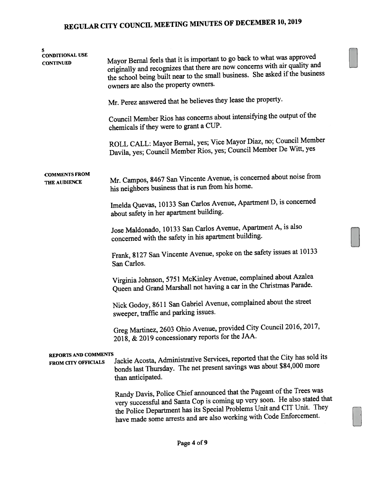| 5                                                  |                                                                                                                                                                                                                                                                                                    |  |  |  |  |
|----------------------------------------------------|----------------------------------------------------------------------------------------------------------------------------------------------------------------------------------------------------------------------------------------------------------------------------------------------------|--|--|--|--|
| <b>CONDITIONAL USE</b><br><b>CONTINUED</b>         | Mayor Bernal feels that it is important to go back to what was approved<br>originally and recognizes that there are now concerns with air quality and<br>the school being built near to the small business. She asked if the business<br>owners are also the property owners.                      |  |  |  |  |
|                                                    | Mr. Perez answered that he believes they lease the property.                                                                                                                                                                                                                                       |  |  |  |  |
|                                                    | Council Member Rios has concerns about intensifying the output of the<br>chemicals if they were to grant a CUP.                                                                                                                                                                                    |  |  |  |  |
|                                                    | ROLL CALL: Mayor Bernal, yes; Vice Mayor Diaz, no; Council Member<br>Davila, yes; Council Member Rios, yes; Council Member De Witt, yes                                                                                                                                                            |  |  |  |  |
| <b>COMMENTS FROM</b><br>THE AUDIENCE               | Mr. Campos, 8467 San Vincente Avenue, is concerned about noise from<br>his neighbors business that is run from his home.                                                                                                                                                                           |  |  |  |  |
|                                                    | Imelda Quevas, 10133 San Carlos Avenue, Apartment D, is concerned<br>about safety in her apartment building.                                                                                                                                                                                       |  |  |  |  |
|                                                    | Jose Maldonado, 10133 San Carlos Avenue, Apartment A, is also<br>concerned with the safety in his apartment building.                                                                                                                                                                              |  |  |  |  |
|                                                    | Frank, 8127 San Vincente Avenue, spoke on the safety issues at 10133<br>San Carlos.                                                                                                                                                                                                                |  |  |  |  |
|                                                    | Virginia Johnson, 5751 McKinley Avenue, complained about Azalea<br>Queen and Grand Marshall not having a car in the Christmas Parade.                                                                                                                                                              |  |  |  |  |
|                                                    | Nick Godoy, 8611 San Gabriel Avenue, complained about the street<br>sweeper, traffic and parking issues.                                                                                                                                                                                           |  |  |  |  |
|                                                    | Greg Martinez, 2603 Ohio Avenue, provided City Council 2016, 2017,<br>2018, & 2019 concessionary reports for the JAA.                                                                                                                                                                              |  |  |  |  |
| <b>REPORTS AND COMMENTS</b><br>FROM CITY OFFICIALS | Jackie Acosta, Administrative Services, reported that the City has sold its<br>bonds last Thursday. The net present savings was about \$84,000 more<br>than anticipated.                                                                                                                           |  |  |  |  |
|                                                    | Randy Davis, Police Chief announced that the Pageant of the Trees was<br>very successful and Santa Cop is coming up very soon. He also stated that<br>the Police Department has its Special Problems Unit and CIT Unit. They<br>have made some arrests and are also working with Code Enforcement. |  |  |  |  |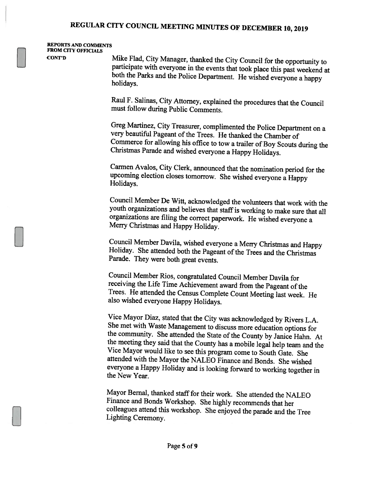#### REPORTS AND COMMENTS FROM CITY OFFICIALS

CONT'D Mike Flad, City Manager, thanked the City Council for the opportunity to participate with everyone in the events that took <sup>p</sup>lace this past weekend at both the Parks and the Police Department. He wished everyone <sup>a</sup> happy holidays.

> Raul F. Salinas, City Attorney, explained the procedures that the Council must follow during Public Comments.

Greg Martinez, City Treasurer, complimented the Police Department on <sup>a</sup> very beautiful Pageant of the Trees. He thanked the Chamber of Commerce for allowing his office to tow <sup>a</sup> trailer of Boy Scouts during the Christmas Parade and wished everyone <sup>a</sup> Happy Holidays.

Carmen Avalos, City Clerk, announced that the nomination period for the upcoming election closes tomorrow. She wished everyone <sup>a</sup> Happy Holidays.

Council Member De Witt, acknowledged the volunteers that work with the youth organizations and believes that staff is working to make sure that all organizations are filing the correct paperwork. He wished everyone <sup>a</sup> Merry Christmas and Happy Holiday.

Council Member Davila, wished everyone <sup>a</sup> Merry Christmas and Happy Holiday. She attended both the Pageant of the Trees and the Christmas Parade. They were both great events.

Council Member Rios, congratulated Council Member Davila for receiving the Life Time Achievement award from the Pageant of the Trees. He attended the Census Complete Count Meeting last week. He also wished everyone Happy Holidays.

Vice Mayor Diaz, stated that the City was acknowledged by Rivers L.A. She met with Waste Management to discuss more education options for the community. She attended the State of the County by Janice Hahn. At the meeting they said that the County has <sup>a</sup> mobile legal help team and the Vice Mayor would like to see this program come to South Gate. She attended with the Mayor the NALEO Finance and Bonds. She wished everyone <sup>a</sup> Happy Holiday and is looking forward to working together in the New Year.

Mayor Bemal, thanked staff for their work. She attended the NALEO Finance and Bonds Workshop. She highly recommends that her colleagues attend this workshop. She enjoyed the parade and the Tree Lighting Ceremony.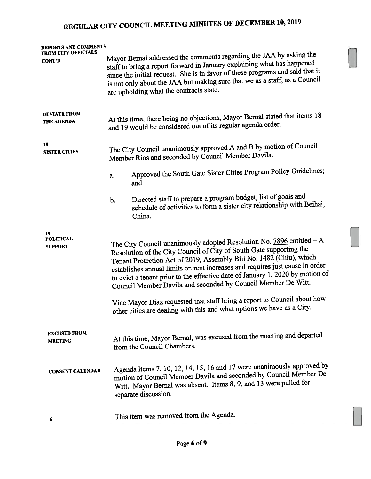| <b>REPORTS AND COMMENTS</b><br><b>FROM CITY OFFICIALS</b> |                                                                                                                                                                                                                                                                                                                                                                                                                                                                                                                                                                                                                |  |  |
|-----------------------------------------------------------|----------------------------------------------------------------------------------------------------------------------------------------------------------------------------------------------------------------------------------------------------------------------------------------------------------------------------------------------------------------------------------------------------------------------------------------------------------------------------------------------------------------------------------------------------------------------------------------------------------------|--|--|
| <b>CONT'D</b>                                             | Mayor Bernal addressed the comments regarding the JAA by asking the<br>staff to bring a report forward in January explaining what has happened<br>since the initial request. She is in favor of these programs and said that it<br>is not only about the JAA but making sure that we as a staff, as a Council<br>are upholding what the contracts state.                                                                                                                                                                                                                                                       |  |  |
| <b>DEVIATE FROM</b><br><b>THE AGENDA</b>                  | At this time, there being no objections, Mayor Bernal stated that items 18<br>and 19 would be considered out of its regular agenda order.                                                                                                                                                                                                                                                                                                                                                                                                                                                                      |  |  |
| 18<br><b>SISTER CITIES</b>                                | The City Council unanimously approved A and B by motion of Council<br>Member Rios and seconded by Council Member Davila.                                                                                                                                                                                                                                                                                                                                                                                                                                                                                       |  |  |
|                                                           | Approved the South Gate Sister Cities Program Policy Guidelines;<br>a.<br>and                                                                                                                                                                                                                                                                                                                                                                                                                                                                                                                                  |  |  |
|                                                           | Directed staff to prepare a program budget, list of goals and<br>b.<br>schedule of activities to form a sister city relationship with Beihai,<br>China.                                                                                                                                                                                                                                                                                                                                                                                                                                                        |  |  |
| 19<br><b>POLITICAL</b><br><b>SUPPORT</b>                  | The City Council unanimously adopted Resolution No. $7896$ entitled $-A$<br>Resolution of the City Council of City of South Gate supporting the<br>Tenant Protection Act of 2019, Assembly Bill No. 1482 (Chiu), which<br>establishes annual limits on rent increases and requires just cause in order<br>to evict a tenant prior to the effective date of January 1, 2020 by motion of<br>Council Member Davila and seconded by Council Member De Witt.<br>Vice Mayor Diaz requested that staff bring a report to Council about how<br>other cities are dealing with this and what options we have as a City. |  |  |
| <b>EXCUSED FROM</b><br><b>MEETING</b>                     | At this time, Mayor Bernal, was excused from the meeting and departed<br>from the Council Chambers.                                                                                                                                                                                                                                                                                                                                                                                                                                                                                                            |  |  |
| <b>CONSENT CALENDAR</b>                                   | Agenda Items 7, 10, 12, 14, 15, 16 and 17 were unanimously approved by<br>motion of Council Member Davila and seconded by Council Member De<br>Witt. Mayor Bernal was absent. Items 8, 9, and 13 were pulled for<br>separate discussion.                                                                                                                                                                                                                                                                                                                                                                       |  |  |
|                                                           | This item was removed from the Agenda.                                                                                                                                                                                                                                                                                                                                                                                                                                                                                                                                                                         |  |  |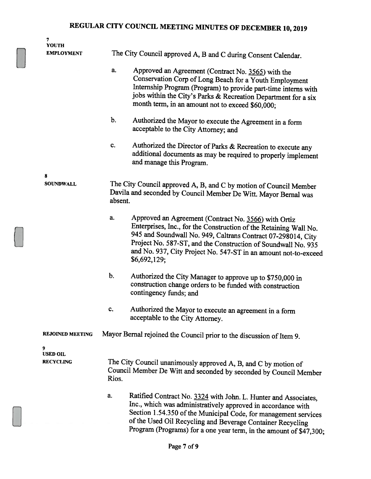| 7<br><b>YOUTH</b>       |                                                               |                                                                                                                                                                                                                                                                                                                                               |  |  |
|-------------------------|---------------------------------------------------------------|-----------------------------------------------------------------------------------------------------------------------------------------------------------------------------------------------------------------------------------------------------------------------------------------------------------------------------------------------|--|--|
| <b>EMPLOYMENT</b>       | The City Council approved A, B and C during Consent Calendar. |                                                                                                                                                                                                                                                                                                                                               |  |  |
|                         | a.                                                            | Approved an Agreement (Contract No. 3565) with the<br>Conservation Corp of Long Beach for a Youth Employment<br>Internship Program (Program) to provide part-time interns with<br>jobs within the City's Parks & Recreation Department for a six<br>month term, in an amount not to exceed \$60,000;                                          |  |  |
|                         | b.                                                            | Authorized the Mayor to execute the Agreement in a form<br>acceptable to the City Attorney; and                                                                                                                                                                                                                                               |  |  |
|                         | c.                                                            | Authorized the Director of Parks & Recreation to execute any<br>additional documents as may be required to properly implement<br>and manage this Program.                                                                                                                                                                                     |  |  |
| 8<br><b>SOUNDWALL</b>   | absent.                                                       | The City Council approved A, B, and C by motion of Council Member<br>Davila and seconded by Council Member De Witt. Mayor Bernal was                                                                                                                                                                                                          |  |  |
|                         | a.                                                            | Approved an Agreement (Contract No. 3566) with Ortiz<br>Enterprises, Inc., for the Construction of the Retaining Wall No.<br>945 and Soundwall No. 949, Caltrans Contract 07-298014, City<br>Project No. 587-ST, and the Construction of Soundwall No. 935<br>and No. 937, City Project No. 547-ST in an amount not-to-exceed<br>\$6,692,129; |  |  |
|                         | $b$ .                                                         | Authorized the City Manager to approve up to \$750,000 in<br>construction change orders to be funded with construction<br>contingency funds; and                                                                                                                                                                                              |  |  |
|                         | c.                                                            | Authorized the Mayor to execute an agreement in a form<br>acceptable to the City Attorney.                                                                                                                                                                                                                                                    |  |  |
| <b>REJOINED MEETING</b> |                                                               | Mayor Bernal rejoined the Council prior to the discussion of Item 9.                                                                                                                                                                                                                                                                          |  |  |
| 9<br><b>USED OIL</b>    |                                                               |                                                                                                                                                                                                                                                                                                                                               |  |  |
| <b>RECYCLING</b>        | Rios.                                                         | The City Council unanimously approved A, B, and C by motion of<br>Council Member De Witt and seconded by seconded by Council Member                                                                                                                                                                                                           |  |  |
|                         | a.                                                            | Ratified Contract No. 3324 with John. L. Hunter and Associates,<br>Inc., which was administratively approved in accordance with<br>Section 1.54.350 of the Municipal Code, for management services<br>of the Used Oil Recycling and Beverage Container Recycling<br>Program (Programs) for a one year term, in the amount of \$47,300;        |  |  |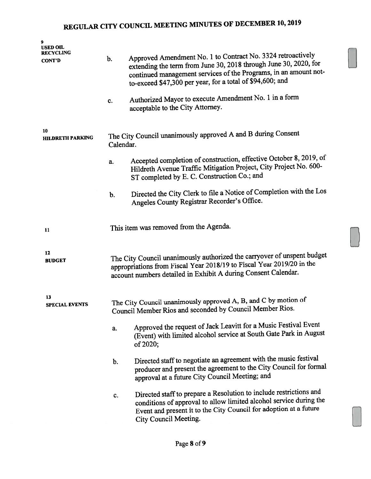| USED OIL<br><b>RECYCLING</b>  |           |                                                                                                                                                                                                                                                                  |
|-------------------------------|-----------|------------------------------------------------------------------------------------------------------------------------------------------------------------------------------------------------------------------------------------------------------------------|
| <b>CONT'D</b>                 | b.        | Approved Amendment No. 1 to Contract No. 3324 retroactively<br>extending the term from June 30, 2018 through June 30, 2020, for<br>continued management services of the Programs, in an amount not-<br>to-exceed \$47,300 per year, for a total of \$94,600; and |
|                               | c.        | Authorized Mayor to execute Amendment No. 1 in a form<br>acceptable to the City Attorney.                                                                                                                                                                        |
| 10<br><b>HILDRETH PARKING</b> | Calendar. | The City Council unanimously approved A and B during Consent                                                                                                                                                                                                     |
|                               | a.        | Accepted completion of construction, effective October 8, 2019, of<br>Hildreth Avenue Traffic Mitigation Project, City Project No. 600-<br>ST completed by E. C. Construction Co.; and                                                                           |
|                               | b.        | Directed the City Clerk to file a Notice of Completion with the Los<br>Angeles County Registrar Recorder's Office.                                                                                                                                               |
| 11                            |           | This item was removed from the Agenda.                                                                                                                                                                                                                           |
| 12<br><b>BUDGET</b>           |           | The City Council unanimously authorized the carryover of unspent budget<br>appropriations from Fiscal Year 2018/19 to Fiscal Year 2019/20 in the<br>account numbers detailed in Exhibit A during Consent Calendar.                                               |
| 13<br><b>SPECIAL EVENTS</b>   |           | The City Council unanimously approved A, B, and C by motion of<br>Council Member Rios and seconded by Council Member Rios.                                                                                                                                       |
|                               | a.        | Approved the request of Jack Leavitt for a Music Festival Event<br>(Event) with limited alcohol service at South Gate Park in August<br>of 2020;                                                                                                                 |
|                               | b.        | Directed staff to negotiate an agreement with the music festival<br>producer and present the agreement to the City Council for formal<br>approval at a future City Council Meeting; and                                                                          |
|                               | c.        | Directed staff to prepare a Resolution to include restrictions and<br>conditions of approval to allow limited alcohol service during the<br>Event and present it to the City Council for adoption at a future<br>City Council Meeting.                           |

D